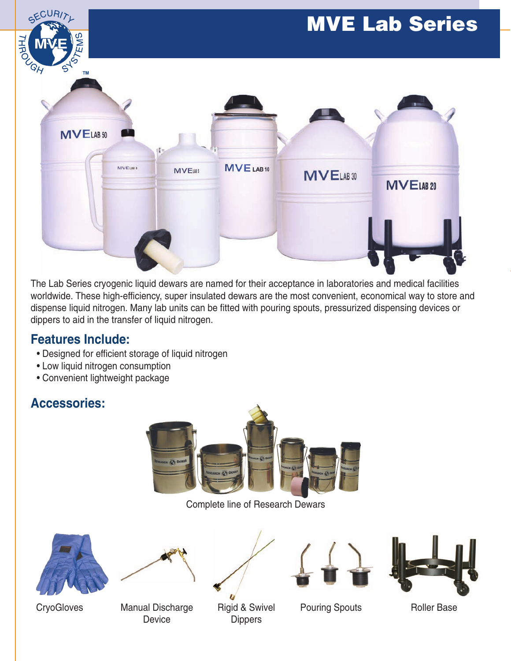

The Lab Series cryogenic liquid dewars are named for their acceptance in laboratories and medical facilities worldwide. These high-efficiency, super insulated dewars are the most convenient, economical way to store and dispense liquid nitrogen. Many lab units can be fitted with pouring spouts, pressurized dispensing devices or dippers to aid in the transfer of liquid nitrogen.

## **Features Include:**

- Designed for efficient storage of liquid nitrogen
- Low liquid nitrogen consumption
- Convenient lightweight package

## **Accessories:**



Complete line of Research Dewars









CryoGloves Manual Discharge Rigid & Swivel Pouring Spouts Roller Base Device Dippers